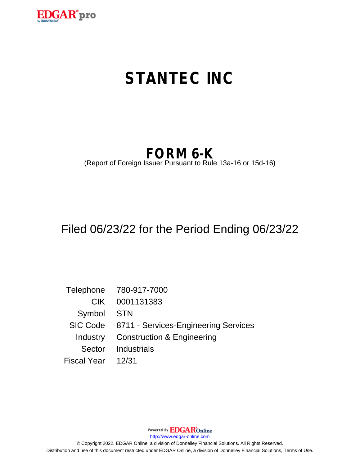

# **STANTEC INC**

# **FORM 6-K**

(Report of Foreign Issuer Pursuant to Rule 13a-16 or 15d-16)

# Filed 06/23/22 for the Period Ending 06/23/22

Telephone 780-917-7000 CIK 0001131383 Symbol STN SIC Code 8711 - Services-Engineering Services Industry Construction & Engineering Sector Industrials Fiscal Year 12/31

Powered By **EDGAR**Online

http://www.edgar-online.com

© Copyright 2022, EDGAR Online, a division of Donnelley Financial Solutions. All Rights Reserved. Distribution and use of this document restricted under EDGAR Online, a division of Donnelley Financial Solutions, Terms of Use.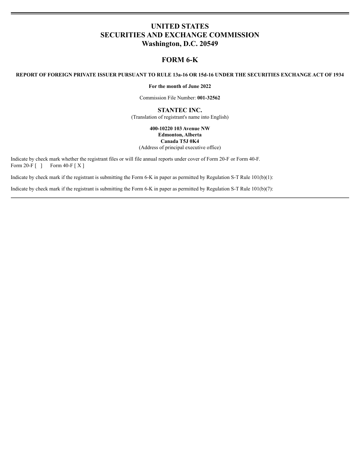## **UNITED STATES** SECURITIES AND EXCHANGE COMMISSION Washington, D.C. 20549

### FORM 6-K

REPORT OF FOREIGN PRIVATE ISSUER PURSUANT TO RULE 13a-16 OR 15d-16 UNDER THE SECURITIES EXCHANGE ACT OF 1934

For the month of June 2022

Commission File Number: 001-32562

**STANTEC INC.** (Translation of registrant's name into English)

400-10220 103 Avenue NW Edmonton, Alberta Canada T5J 0K4 (Address of principal executive office)

Indicate by check mark whether the registrant files or will file annual reports under cover of Form 20-F or Form 40-F. Form  $20-F$  | Form  $40-F$  | X |

Indicate by check mark if the registrant is submitting the Form 6-K in paper as permitted by Regulation S-T Rule  $101(b)(1)$ :

Indicate by check mark if the registrant is submitting the Form 6-K in paper as permitted by Regulation S-T Rule  $101(b)(7)$ :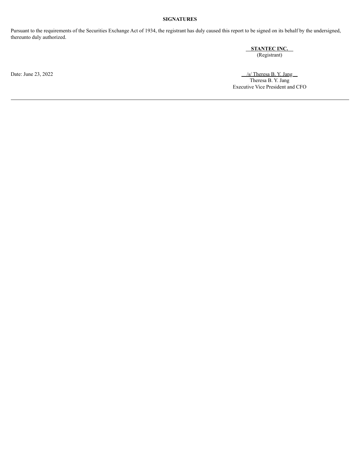#### **SIGNATURES**

Pursuant to the requirements of the Securities Exchange Act of 1934, the registrant has duly caused this report to be signed on its behalf by the undersigned, thereunto duly authorized.

> **STANTEC INC.** (Registrant)

Date: June 23, 2022 /s/ Theresa B. Y. Jang Theresa B. Y. Jang Executive Vice President and CFO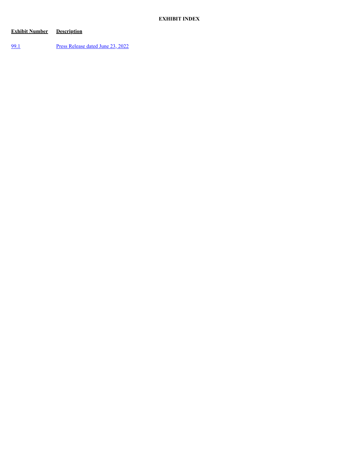#### **EXHIBIT INDEX**

#### **Exhibit Number Description**

[99.1](#page-4-0) Press [Release](#page-4-0) dated June 23, 2022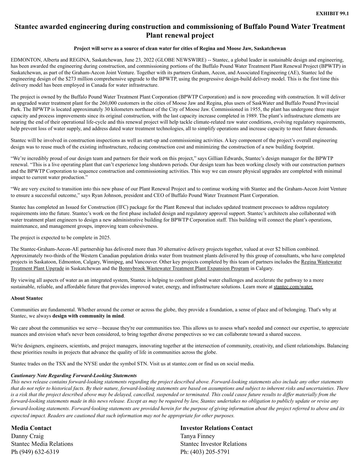### <span id="page-4-0"></span>**Stantec awarded engineering during construction and commissioning of Buffalo Pound Water Treatment Plant renewal project**

#### **Project will serve as a source of clean water for cities of Regina and Moose Jaw, Saskatchewan**

EDMONTON, Alberta and REGINA, Saskatchewan, June 23, 2022 (GLOBE NEWSWIRE) -- Stantec, a global leader in sustainable design and engineering, has been awarded the engineering during construction, and commissioning portions of the Buffalo Pound Water Treatment Plant Renewal Project (BPWTP) in Saskatchewan, as part of the Graham-Aecon Joint Venture. Together with its partners Graham, Aecon, and Associated Engineering (AE), Stantec led the engineering design of the \$273 million comprehensive upgrade to the BPWTP, using the progressive design-build delivery model. This is the first time this delivery model has been employed in Canada for water infrastructure.

The project is owned by the Buffalo Pound Water Treatment Plant Corporation (BPWTP Corporation) and is now proceeding with construction. It will deliver an upgraded water treatment plant for the 260,000 customers in the cities of Moose Jaw and Regina, plus users of SaskWater and Buffalo Pound Provincial Park. The BPWTP is located approximately 30 kilometers northeast of the City of Moose Jaw. Commissioned in 1955, the plant has undergone three major capacity and process improvements since its original construction, with the last capacity increase completed in 1989. The plant's infrastructure elements are nearing the end of their operational life-cycle and this renewal project will help tackle climate-related raw water conditions, evolving regulatory requirements, help prevent loss of water supply, and address dated water treatment technologies, all to simplify operations and increase capacity to meet future demands.

Stantec will be involved in construction inspections as well as start-up and commissioning activities. A key component of the project's overall engineering design was to reuse much of the existing infrastructure, reducing construction cost and minimizing the construction of a new building footprint.

"We're incredibly proud of our design team and partners for their work on this project," says Gillian Edwards, Stantec's design manager for the BPWTP renewal. "This is a live operating plant that can't experience long shutdown periods. Our design team has been working closely with our construction partners and the BPWTP Corporation to sequence construction and commissioning activities. This way we can ensure physical upgrades are completed with minimal impact to current water production."

"We are very excited to transition into this new phase of our Plant Renewal Project and to continue working with Stantec and the Graham-Aecon Joint Venture to ensure a successful outcome," says Ryan Johnson, president and CEO of Buffalo Pound Water Treatment Plant Corporation.

Stantec has completed an Issued for Construction (IFC) package for the Plant Renewal that includes updated treatment processes to address regulatory requirements into the future. Stantec's work on the first phase included design and regulatory approval support. Stantec's architects also collaborated with water treatment plant engineers to design a new administrative building for BPWTP Corporation staff. This building will connect the plant's operations, maintenance, and management groups, improving team cohesiveness.

The project is expected to be complete in 2025.

The Stantec-Graham-Aecon-AE partnership has delivered more than 30 alternative delivery projects together, valued at over \$2 billion combined. Approximately two-thirds of the Western Canadian population drinks water from treatment plants delivered by this group of consultants, who have completed projects in Saskatoon, Edmonton, Calgary, Winnipeg, and Vancouver. Other key projects completed by this team of partners includes the Regina Wastewater Treatment Plant Upgrade in Saskatchewan and the Bonnybrook Wastewater Treatment Plant Expansion Program in Calgary.

By viewing all aspects of water as an integrated system, Stantec is helping to confront global water challenges and accelerate the pathway to a more sustainable, reliable, and affordable future that provides improved water, energy, and infrastructure solutions. Learn more at stantec.com/water.

#### **About Stantec**

Communities are fundamental. Whether around the corner or across the globe, they provide a foundation, a sense of place and of belonging. That's why at Stantec, we always **design with community in mind**.

We care about the communities we serve—because they're our communities too. This allows us to assess what's needed and connect our expertise, to appreciate nuances and envision what's never been considered, to bring together diverse perspectives so we can collaborate toward a shared success.

We're designers, engineers, scientists, and project managers, innovating together at the intersection of community, creativity, and client relationships. Balancing these priorities results in projects that advance the quality of life in communities across the globe.

Stantec trades on the TSX and the NYSE under the symbol STN. Visit us at stantec.com or find us on social media.

#### *Cautionary Note Regarding Forward-Looking Statements*

This news release contains forward-looking statements regarding the project described above. Forward-looking statements also include any other statements that do not refer to historical facts. By their nature, forward-looking statements are based on assumptions and subject to inherent risks and uncertainties. There is a risk that the project described above may be delayed, cancelled, suspended or terminated. This could cause future results to differ materially from the forward-looking statements made in this news release. Except as may be required by law, Stantec undertakes no obligation to publicly update or revise any forward-looking statements. Forward-looking statements are provided herein for the purpose of giving information about the project referred to above and its *expected impact. Readers are cautioned that such information may not be appropriate for other purposes.*

Danny Craig Tanya Finney Ph (949) 632-6319 Ph: (403) 205-5791

**Media Contact Investor Relations Contact** Stantec Media Relations Stantec Investor Relations Stantec Investor Relations